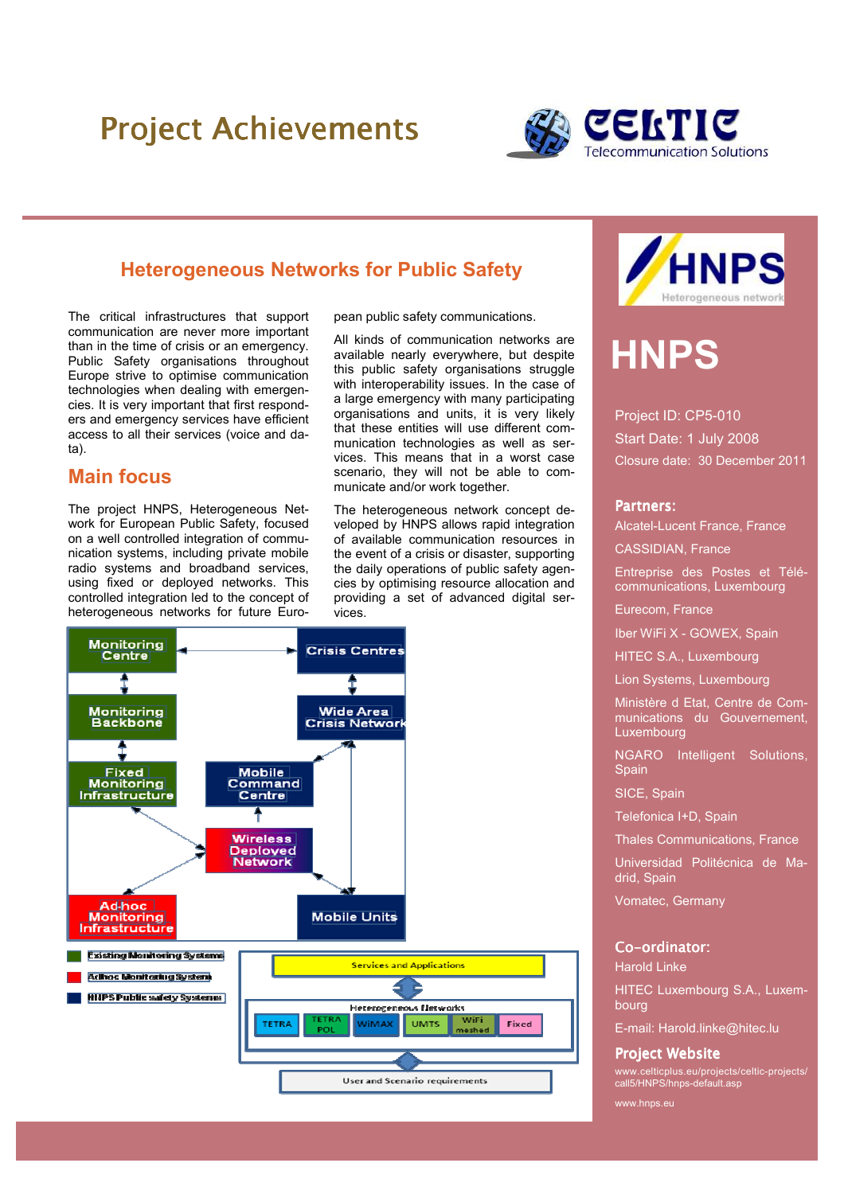## Project Achievements



## Heterogeneous Networks for Public Safety

The critical infrastructures that support communication are never more important than in the time of crisis or an emergency. Public Safety organisations throughout Europe strive to optimise communication technologies when dealing with emergencies. It is very important that first responders and emergency services have efficient access to all their services (voice and data).

## Main focus

The project HNPS, Heterogeneous Network for European Public Safety, focused on a well controlled integration of communication systems, including private mobile radio systems and broadband services, using fixed or deployed networks. This controlled integration led to the concept of heterogeneous networks for future European public safety communications.

All kinds of communication networks are available nearly everywhere, but despite this public safety organisations struggle with interoperability issues. In the case of a large emergency with many participating organisations and units, it is very likely that these entities will use different communication technologies as well as services. This means that in a worst case scenario, they will not be able to communicate and/or work together.

The heterogeneous network concept developed by HNPS allows rapid integration of available communication resources in the event of a crisis or disaster, supporting the daily operations of public safety agencies by optimising resource allocation and providing a set of advanced digital services.





# **HNPS**

Project ID: CP5-010 Start Date: 1 July 2008 Closure date: 30 December 2011

#### Partners:

Alcatel-Lucent France, France

CASSIDIAN, France

Entreprise des Postes et Télécommunications, Luxembourg

Eurecom, France

Iber WiFi X - GOWEX, Spain

HITEC S.A., Luxembourg

Lion Systems, Luxembourg

Ministère d Etat, Centre de Communications du Gouvernement, Luxembourg

NGARO Intelligent Solutions, Spain

SICE, Spain

Telefonica I+D, Spain

Thales Communications, France

Universidad Politécnica de Madrid, Spain

Vomatec, Germany

#### Co-ordinator:

Harold Linke

HITEC Luxembourg S.A., Luxembourg

E-mail: Harold.linke@hitec.lu

#### **Project Website**

www.celticplus.eu/projects/celtic-projects/ call5/HNPS/hnps-default.asp

www.hnps.eu